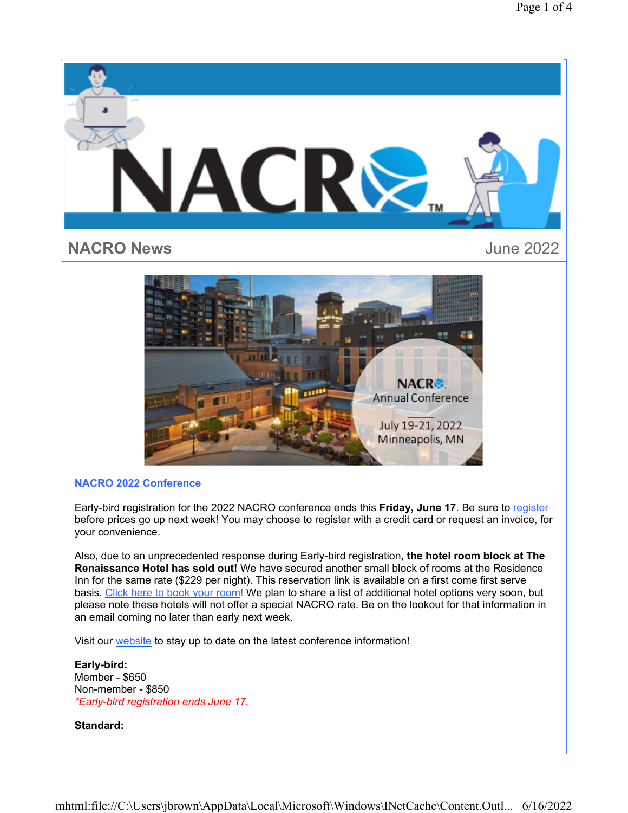

## **NACRO 2022 Conference**

Early-bird registration for the 2022 NACRO conference ends this **Friday, June 17**. Be sure to register before prices go up next week! You may choose to register with a credit card or request an invoice, for your convenience.

Also, due to an unprecedented response during Early-bird registration**, the hotel room block at The Renaissance Hotel has sold out!** We have secured another small block of rooms at the Residence Inn for the same rate (\$229 per night). This reservation link is available on a first come first serve basis. Click here to book your room! We plan to share a list of additional hotel options very soon, but please note these hotels will not offer a special NACRO rate. Be on the lookout for that information in an email coming no later than early next week.

Visit our website to stay up to date on the latest conference information!

**Early-bird:** Member - \$650 Non-member - \$850 *\*Early-bird registration ends June 17.*

**Standard:**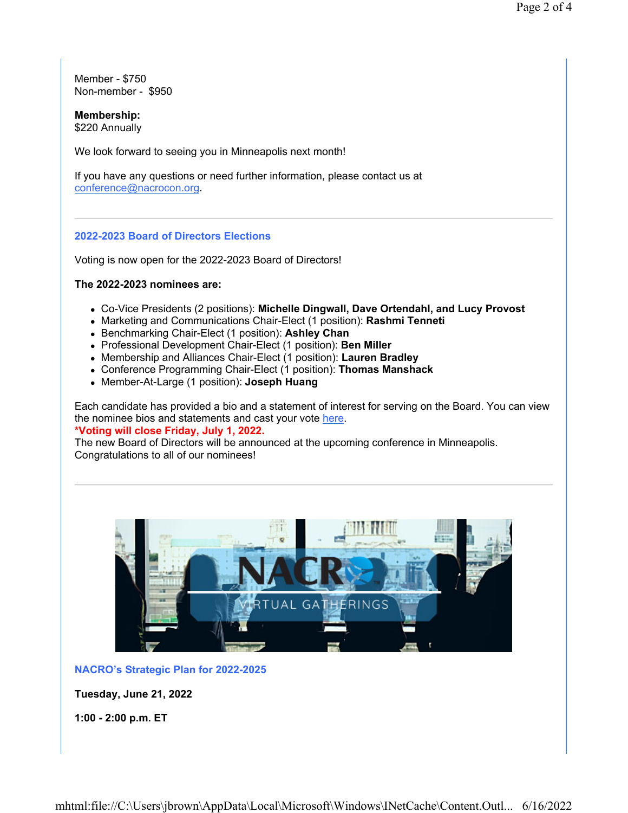Member - \$750 Non-member - \$950

**Membership:** \$220 Annually

We look forward to seeing you in Minneapolis next month!

If you have any questions or need further information, please contact us at conference@nacrocon.org.

#### **2022-2023 Board of Directors Elections**

Voting is now open for the 2022-2023 Board of Directors!

#### **The 2022-2023 nominees are:**

- Co-Vice Presidents (2 positions): **Michelle Dingwall, Dave Ortendahl, and Lucy Provost**
- Marketing and Communications Chair-Elect (1 position): **Rashmi Tenneti**
- Benchmarking Chair-Elect (1 position): **Ashley Chan**
- Professional Development Chair-Elect (1 position): **Ben Miller**
- Membership and Alliances Chair-Elect (1 position): **Lauren Bradley**
- Conference Programming Chair-Elect (1 position): **Thomas Manshack**
- Member-At-Large (1 position): **Joseph Huang**

Each candidate has provided a bio and a statement of interest for serving on the Board. You can view the nominee bios and statements and cast your vote here. **\*Voting will close Friday, July 1, 2022.** 

The new Board of Directors will be announced at the upcoming conference in Minneapolis. Congratulations to all of our nominees!



**NACRO's Strategic Plan for 2022-2025**

**Tuesday, June 21, 2022**

**1:00 - 2:00 p.m. ET**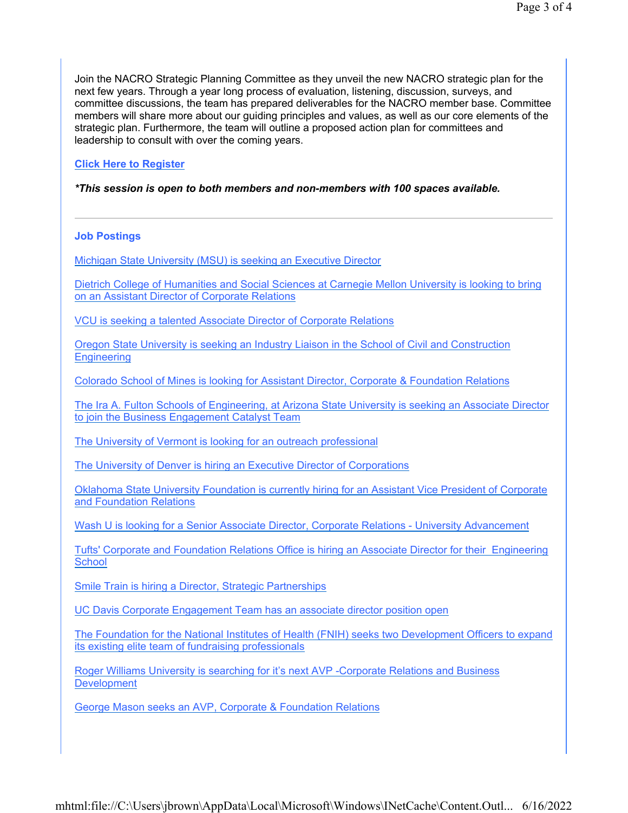Join the NACRO Strategic Planning Committee as they unveil the new NACRO strategic plan for the next few years. Through a year long process of evaluation, listening, discussion, surveys, and committee discussions, the team has prepared deliverables for the NACRO member base. Committee members will share more about our guiding principles and values, as well as our core elements of the strategic plan. Furthermore, the team will outline a proposed action plan for committees and leadership to consult with over the coming years.

## **Click Here to Register**

#### *\*This session is open to both members and non-members with 100 spaces available.*

### **Job Postings**

Michigan State University (MSU) is seeking an Executive Director

Dietrich College of Humanities and Social Sciences at Carnegie Mellon University is looking to bring on an Assistant Director of Corporate Relations

VCU is seeking a talented Associate Director of Corporate Relations

Oregon State University is seeking an Industry Liaison in the School of Civil and Construction **Engineering** 

Colorado School of Mines is looking for Assistant Director, Corporate & Foundation Relations

The Ira A. Fulton Schools of Engineering, at Arizona State University is seeking an Associate Director to join the Business Engagement Catalyst Team

The University of Vermont is looking for an outreach professional

The University of Denver is hiring an Executive Director of Corporations

Oklahoma State University Foundation is currently hiring for an Assistant Vice President of Corporate and Foundation Relations

Wash U is looking for a Senior Associate Director, Corporate Relations - University Advancement

Tufts' Corporate and Foundation Relations Office is hiring an Associate Director for their Engineering **School** 

Smile Train is hiring a Director, Strategic Partnerships

UC Davis Corporate Engagement Team has an associate director position open

The Foundation for the National Institutes of Health (FNIH) seeks two Development Officers to expand its existing elite team of fundraising professionals

Roger Williams University is searching for it's next AVP -Corporate Relations and Business **Development** 

George Mason seeks an AVP, Corporate & Foundation Relations